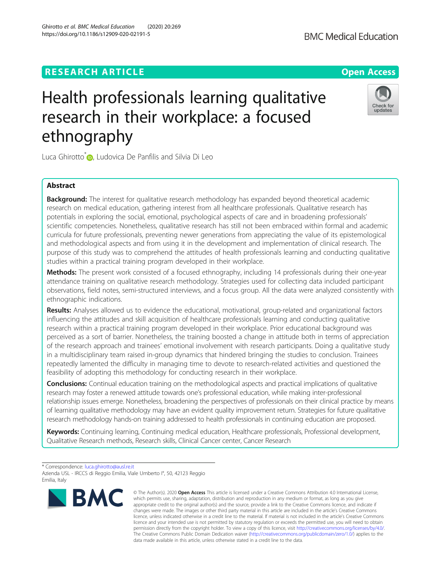# **RESEARCH ARTICLE Example 2014 12:30 The Contract of Contract ACCESS**

# Health professionals learning qualitative research in their workplace: a focused ethnography

Luca Ghirotto<sup>\*</sup> <sub>(b</sub>)[,](http://orcid.org/0000-0001-7632-1271) Ludovica De Panfilis and Silvia Di Leo

## Abstract

**Background:** The interest for qualitative research methodology has expanded beyond theoretical academic research on medical education, gathering interest from all healthcare professionals. Qualitative research has potentials in exploring the social, emotional, psychological aspects of care and in broadening professionals' scientific competencies. Nonetheless, qualitative research has still not been embraced within formal and academic curricula for future professionals, preventing newer generations from appreciating the value of its epistemological and methodological aspects and from using it in the development and implementation of clinical research. The purpose of this study was to comprehend the attitudes of health professionals learning and conducting qualitative studies within a practical training program developed in their workplace.

Methods: The present work consisted of a focused ethnography, including 14 professionals during their one-year attendance training on qualitative research methodology. Strategies used for collecting data included participant observations, field notes, semi-structured interviews, and a focus group. All the data were analyzed consistently with ethnographic indications.

Results: Analyses allowed us to evidence the educational, motivational, group-related and organizational factors influencing the attitudes and skill acquisition of healthcare professionals learning and conducting qualitative research within a practical training program developed in their workplace. Prior educational background was perceived as a sort of barrier. Nonetheless, the training boosted a change in attitude both in terms of appreciation of the research approach and trainees' emotional involvement with research participants. Doing a qualitative study in a multidisciplinary team raised in-group dynamics that hindered bringing the studies to conclusion. Trainees repeatedly lamented the difficulty in managing time to devote to research-related activities and questioned the feasibility of adopting this methodology for conducting research in their workplace.

Conclusions: Continual education training on the methodological aspects and practical implications of qualitative research may foster a renewed attitude towards one's professional education, while making inter-professional relationship issues emerge. Nonetheless, broadening the perspectives of professionals on their clinical practice by means of learning qualitative methodology may have an evident quality improvement return. Strategies for future qualitative research methodology hands-on training addressed to health professionals in continuing education are proposed.

Keywords: Continuing learning, Continuing medical education, Healthcare professionals, Professional development, Qualitative Research methods, Research skills, Clinical Cancer center, Cancer Research



<sup>©</sup> The Author(s), 2020 **Open Access** This article is licensed under a Creative Commons Attribution 4.0 International License, which permits use, sharing, adaptation, distribution and reproduction in any medium or format, as long as you give appropriate credit to the original author(s) and the source, provide a link to the Creative Commons licence, and indicate if changes were made. The images or other third party material in this article are included in the article's Creative Commons licence, unless indicated otherwise in a credit line to the material. If material is not included in the article's Creative Commons licence and your intended use is not permitted by statutory regulation or exceeds the permitted use, you will need to obtain permission directly from the copyright holder. To view a copy of this licence, visit [http://creativecommons.org/licenses/by/4.0/.](http://creativecommons.org/licenses/by/4.0/) The Creative Commons Public Domain Dedication waiver [\(http://creativecommons.org/publicdomain/zero/1.0/](http://creativecommons.org/publicdomain/zero/1.0/)) applies to the data made available in this article, unless otherwise stated in a credit line to the data.





<sup>\*</sup> Correspondence: [luca.ghirotto@ausl.re.it](mailto:luca.ghirotto@ausl.re.it)

Azienda USL - IRCCS di Reggio Emilia, Viale Umberto I°, 50, 42123 Reggio Emilia, Italy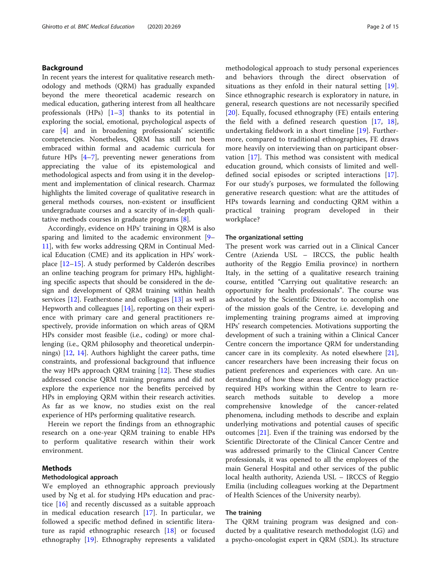## Background

In recent years the interest for qualitative research methodology and methods (QRM) has gradually expanded beyond the mere theoretical academic research on medical education, gathering interest from all healthcare professionals  $(HPs)$   $[1-3]$  $[1-3]$  $[1-3]$  thanks to its potential in exploring the social, emotional, psychological aspects of care [\[4](#page-13-0)] and in broadening professionals' scientific competencies. Nonetheless, QRM has still not been embraced within formal and academic curricula for future HPs [\[4](#page-13-0)–[7](#page-13-0)], preventing newer generations from appreciating the value of its epistemological and methodological aspects and from using it in the development and implementation of clinical research. Charmaz highlights the limited coverage of qualitative research in general methods courses, non-existent or insufficient undergraduate courses and a scarcity of in-depth qualitative methods courses in graduate programs [\[8](#page-13-0)].

Accordingly, evidence on HPs' training in QRM is also sparing and limited to the academic environment [[9](#page-13-0)– [11\]](#page-14-0), with few works addressing QRM in Continual Medical Education (CME) and its application in HPs' workplace [\[12](#page-14-0)–[15\]](#page-14-0). A study performed by Calderón describes an online teaching program for primary HPs, highlighting specific aspects that should be considered in the design and development of QRM training within health services [[12](#page-14-0)]. Featherstone and colleagues [\[13\]](#page-14-0) as well as Hepworth and colleagues [[14\]](#page-14-0), reporting on their experience with primary care and general practitioners respectively, provide information on which areas of QRM HPs consider most feasible (i.e., coding) or more challenging (i.e., QRM philosophy and theoretical underpinnings) [\[12](#page-14-0), [14\]](#page-14-0). Authors highlight the career paths, time constraints, and professional background that influence the way HPs approach QRM training [[12](#page-14-0)]. These studies addressed concise QRM training programs and did not explore the experience nor the benefits perceived by HPs in employing QRM within their research activities. As far as we know, no studies exist on the real experience of HPs performing qualitative research.

Herein we report the findings from an ethnographic research on a one-year QRM training to enable HPs to perform qualitative research within their work environment.

## Methods

#### Methodological approach

We employed an ethnographic approach previously used by Ng et al. for studying HPs education and practice [[16\]](#page-14-0) and recently discussed as a suitable approach in medical education research [[17\]](#page-14-0). In particular, we followed a specific method defined in scientific literature as rapid ethnographic research [\[18](#page-14-0)] or focused ethnography [\[19](#page-14-0)]. Ethnography represents a validated methodological approach to study personal experiences and behaviors through the direct observation of situations as they enfold in their natural setting [\[19](#page-14-0)]. Since ethnographic research is exploratory in nature, in general, research questions are not necessarily specified [[20\]](#page-14-0). Equally, focused ethnography (FE) entails entering the field with a defined research question  $[17, 18]$  $[17, 18]$  $[17, 18]$  $[17, 18]$  $[17, 18]$ , undertaking fieldwork in a short timeline [[19\]](#page-14-0). Furthermore, compared to traditional ethnographies, FE draws more heavily on interviewing than on participant observation [[17](#page-14-0)]. This method was consistent with medical education ground, which consists of limited and welldefined social episodes or scripted interactions [\[17](#page-14-0)]. For our study's purposes, we formulated the following generative research question: what are the attitudes of HPs towards learning and conducting QRM within a practical training program developed in their workplace?

#### The organizational setting

The present work was carried out in a Clinical Cancer Centre (Azienda USL – IRCCS, the public health authority of the Reggio Emilia province) in northern Italy, in the setting of a qualitative research training course, entitled "Carrying out qualitative research: an opportunity for health professionals". The course was advocated by the Scientific Director to accomplish one of the mission goals of the Centre, i.e. developing and implementing training programs aimed at improving HPs' research competencies. Motivations supporting the development of such a training within a Clinical Cancer Centre concern the importance QRM for understanding cancer care in its complexity. As noted elsewhere [\[21](#page-14-0)], cancer researchers have been increasing their focus on patient preferences and experiences with care. An understanding of how these areas affect oncology practice required HPs working within the Centre to learn research methods suitable to develop a more comprehensive knowledge of the cancer-related phenomena, including methods to describe and explain underlying motivations and potential causes of specific outcomes [[21\]](#page-14-0). Even if the training was endorsed by the Scientific Directorate of the Clinical Cancer Centre and was addressed primarily to the Clinical Cancer Centre professionals, it was opened to all the employees of the main General Hospital and other services of the public local health authority, Azienda USL – IRCCS of Reggio Emilia (including colleagues working at the Department of Health Sciences of the University nearby).

## The training

The QRM training program was designed and conducted by a qualitative research methodologist (LG) and a psycho-oncologist expert in QRM (SDL). Its structure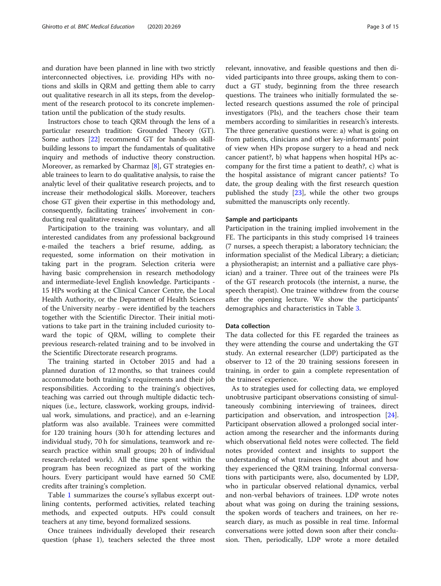and duration have been planned in line with two strictly interconnected objectives, i.e. providing HPs with notions and skills in QRM and getting them able to carry out qualitative research in all its steps, from the development of the research protocol to its concrete implementation until the publication of the study results.

Instructors chose to teach QRM through the lens of a particular research tradition: Grounded Theory (GT). Some authors [\[22\]](#page-14-0) recommend GT for hands-on skillbuilding lessons to impart the fundamentals of qualitative inquiry and methods of inductive theory construction. Moreover, as remarked by Charmaz [[8\]](#page-13-0), GT strategies enable trainees to learn to do qualitative analysis, to raise the analytic level of their qualitative research projects, and to increase their methodological skills. Moreover, teachers chose GT given their expertise in this methodology and, consequently, facilitating trainees' involvement in conducting real qualitative research.

Participation to the training was voluntary, and all interested candidates from any professional background e-mailed the teachers a brief resume, adding, as requested, some information on their motivation in taking part in the program. Selection criteria were having basic comprehension in research methodology and intermediate-level English knowledge. Participants - 15 HPs working at the Clinical Cancer Centre, the Local Health Authority, or the Department of Health Sciences of the University nearby - were identified by the teachers together with the Scientific Director. Their initial motivations to take part in the training included curiosity toward the topic of QRM, willing to complete their previous research-related training and to be involved in the Scientific Directorate research programs.

The training started in October 2015 and had a planned duration of 12 months, so that trainees could accommodate both training's requirements and their job responsibilities. According to the training's objectives, teaching was carried out through multiple didactic techniques (i.e., lecture, classwork, working groups, individual work, simulations, and practice), and an e-learning platform was also available. Trainees were committed for 120 training hours (30 h for attending lectures and individual study, 70 h for simulations, teamwork and research practice within small groups; 20 h of individual research-related work). All the time spent within the program has been recognized as part of the working hours. Every participant would have earned 50 CME credits after training's completion.

Table [1](#page-3-0) summarizes the course's syllabus excerpt outlining contents, performed activities, related teaching methods, and expected outputs. HPs could consult teachers at any time, beyond formalized sessions.

Once trainees individually developed their research question (phase 1), teachers selected the three most relevant, innovative, and feasible questions and then divided participants into three groups, asking them to conduct a GT study, beginning from the three research questions. The trainees who initially formulated the selected research questions assumed the role of principal investigators (PIs), and the teachers chose their team members according to similarities in research's interests. The three generative questions were: a) what is going on from patients, clinicians and other key-informants' point of view when HPs propose surgery to a head and neck cancer patient?, b) what happens when hospital HPs accompany for the first time a patient to death?, c) what is the hospital assistance of migrant cancer patients? To date, the group dealing with the first research question published the study  $[23]$  $[23]$ , while the other two groups submitted the manuscripts only recently.

#### Sample and participants

Participation in the training implied involvement in the FE. The participants in this study comprised 14 trainees (7 nurses, a speech therapist; a laboratory technician; the information specialist of the Medical Library; a dietician; a physiotherapist; an internist and a palliative care physician) and a trainer. Three out of the trainees were PIs of the GT research protocols (the internist, a nurse, the speech therapist). One trainee withdrew from the course after the opening lecture. We show the participants' demographics and characteristics in Table [3](#page-6-0).

#### Data collection

The data collected for this FE regarded the trainees as they were attending the course and undertaking the GT study. An external researcher (LDP) participated as the observer to 12 of the 20 training sessions foreseen in training, in order to gain a complete representation of the trainees' experience.

As to strategies used for collecting data, we employed unobtrusive participant observations consisting of simultaneously combining interviewing of trainees, direct participation and observation, and introspection [\[24](#page-14-0)]. Participant observation allowed a prolonged social interaction among the researcher and the informants during which observational field notes were collected. The field notes provided context and insights to support the understanding of what trainees thought about and how they experienced the QRM training. Informal conversations with participants were, also, documented by LDP, who in particular observed relational dynamics, verbal and non-verbal behaviors of trainees. LDP wrote notes about what was going on during the training sessions, the spoken words of teachers and trainees, on her research diary, as much as possible in real time. Informal conversations were jotted down soon after their conclusion. Then, periodically, LDP wrote a more detailed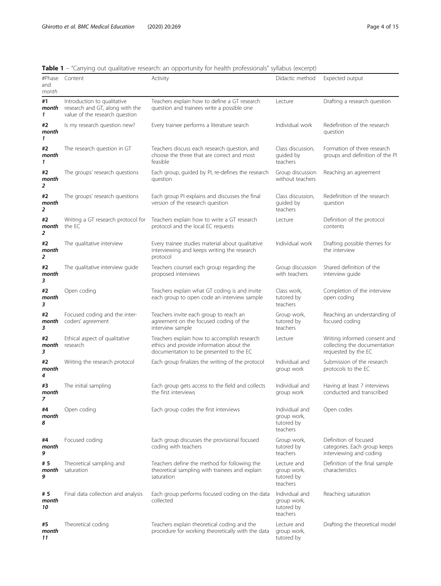<span id="page-3-0"></span>

| Table 1 - "Carrying out qualitative research: an opportunity for health professionals" syllabus (excerpt) |  |  |  |  |  |  |  |  |
|-----------------------------------------------------------------------------------------------------------|--|--|--|--|--|--|--|--|
|-----------------------------------------------------------------------------------------------------------|--|--|--|--|--|--|--|--|

|                   |                                                                                                  | carrying out quantume research. an opportunity for neath professionals synapas (exterpt)                                           |                                                         |                                                                                     |
|-------------------|--------------------------------------------------------------------------------------------------|------------------------------------------------------------------------------------------------------------------------------------|---------------------------------------------------------|-------------------------------------------------------------------------------------|
| and<br>month      | #Phase Content                                                                                   | Activity                                                                                                                           | Didactic method                                         | Expected output                                                                     |
| #1<br>month<br>1  | Introduction to qualitative<br>research and GT, along with the<br>value of the research question | Teachers explain how to define a GT research<br>question and trainees write a possible one                                         | Lecture                                                 | Drafting a research question                                                        |
| #2<br>month<br>1  | Is my research question new?                                                                     | Every trainee performs a literature search                                                                                         | Individual work                                         | Redefinition of the research<br>question                                            |
| #2<br>month<br>1  | The research question in GT                                                                      | Teachers discuss each research question, and<br>choose the three that are correct and most<br>feasible                             | Class discussion,<br>quided by<br>teachers              | Formation of three research<br>groups and definition of the PI                      |
| #2<br>month<br>2  | The groups' research questions                                                                   | Each group, guided by PI, re-defines the research<br>question                                                                      | Group discussion<br>without teachers                    | Reaching an agreement                                                               |
| #2<br>month<br>2  | The groups' research questions                                                                   | Each group PI explains and discusses the final<br>version of the research question                                                 | Class discussion,<br>guided by<br>teachers              | Redefinition of the research<br>question                                            |
| #2<br>month<br>2  | Writing a GT research protocol for<br>the FC                                                     | Teachers explain how to write a GT research<br>protocol and the local EC requests                                                  | Lecture                                                 | Definition of the protocol<br>contents                                              |
| #2<br>month<br>2  | The qualitative interview                                                                        | Every trainee studies material about qualitative<br>interviewing and keeps writing the research<br>protocol                        | Individual work                                         | Drafting possible themes for<br>the interview                                       |
| #2<br>month<br>3  | The qualitative interview guide                                                                  | Teachers counsel each group regarding the<br>proposed interviews                                                                   | Group discussion<br>with teachers                       | Shared definition of the<br>interview guide                                         |
| #2<br>month<br>3  | Open coding                                                                                      | Teachers explain what GT coding is and invite<br>each group to open code an interview sample                                       | Class work,<br>tutored by<br>teachers                   | Completion of the interview<br>open coding                                          |
| #2<br>month<br>3  | Focused coding and the inter-<br>coders' agreement                                               | Teachers invite each group to reach an<br>agreement on the focused coding of the<br>interview sample                               | Group work,<br>tutored by<br>teachers                   | Reaching an understanding of<br>focused coding                                      |
| #2<br>month<br>3  | Ethical aspect of qualitative<br>research                                                        | Teachers explain how to accomplish research<br>ethics and provide information about the<br>documentation to be presented to the EC | Lecture                                                 | Writing informed consent and<br>collecting the documentation<br>requested by the EC |
| #2<br>month<br>4  | Writing the research protocol                                                                    | Each group finalizes the writing of the protocol                                                                                   | Individual and<br>group work                            | Submission of the research<br>protocols to the EC                                   |
| #3<br>month<br>7  | The initial sampling                                                                             | Each group gets access to the field and collects<br>the first interviews                                                           | Individual and<br>group work                            | Having at least 7 interviews<br>conducted and transcribed                           |
| #4<br>month<br>8  | Open coding                                                                                      | Each group codes the first interviews                                                                                              | Individual and<br>group work,<br>tutored by<br>teachers | Open codes                                                                          |
| #4<br>month<br>9  | Focused coding                                                                                   | Each group discusses the provisional focused<br>coding with teachers                                                               | Group work,<br>tutored by<br>teachers                   | Definition of focused<br>categories. Each group keeps<br>interviewing and coding    |
| # 5<br>month<br>9 | Theoretical sampling and<br>saturation                                                           | Teachers define the method for following the<br>theoretical sampling with trainees and explain<br>saturation                       | Lecture and<br>group work,<br>tutored by<br>teachers    | Definition of the final sample<br>characteristics                                   |
| #5<br>month<br>10 | Final data collection and analysis                                                               | Each group performs focused coding on the data<br>collected                                                                        | Individual and<br>group work,<br>tutored by<br>teachers | Reaching saturation                                                                 |
| #5<br>month<br>11 | Theoretical coding                                                                               | Teachers explain theoretical coding and the<br>procedure for working theoretically with the data                                   | Lecture and<br>group work,<br>tutored by                | Drafting the theoretical model                                                      |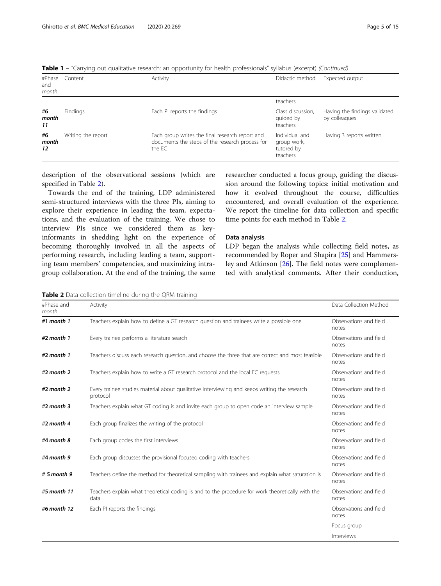| Table 1 - "Carrying out qualitative research: an opportunity for health professionals" syllabus (excerpt) (Continued) |  |
|-----------------------------------------------------------------------------------------------------------------------|--|
|-----------------------------------------------------------------------------------------------------------------------|--|

| #Phase<br>and<br>month | Content            | Activity                                                                                                     | Didactic method                                         | Expected output                                |
|------------------------|--------------------|--------------------------------------------------------------------------------------------------------------|---------------------------------------------------------|------------------------------------------------|
|                        |                    |                                                                                                              | teachers                                                |                                                |
| #6<br>month<br>11      | Findings           | Each PI reports the findings                                                                                 | Class discussion,<br>quided by<br>teachers              | Having the findings validated<br>by colleagues |
| #6<br>month<br>12      | Writing the report | Each group writes the final research report and<br>documents the steps of the research process for<br>the EC | Individual and<br>group work,<br>tutored by<br>teachers | Having 3 reports written                       |

description of the observational sessions (which are specified in Table 2).

Towards the end of the training, LDP administered semi-structured interviews with the three PIs, aiming to explore their experience in leading the team, expectations, and the evaluation of the training. We chose to interview PIs since we considered them as keyinformants in shedding light on the experience of becoming thoroughly involved in all the aspects of performing research, including leading a team, supporting team members' competencies, and maximizing intragroup collaboration. At the end of the training, the same

researcher conducted a focus group, guiding the discussion around the following topics: initial motivation and how it evolved throughout the course, difficulties encountered, and overall evaluation of the experience. We report the timeline for data collection and specific time points for each method in Table 2.

#### Data analysis

LDP began the analysis while collecting field notes, as recommended by Roper and Shapira [[25\]](#page-14-0) and Hammersley and Atkinson [\[26\]](#page-14-0). The field notes were complemented with analytical comments. After their conduction,

Table 2 Data collection timeline during the QRM training

| #Phase and<br>month | Activity                                                                                                 | Data Collection Method          |
|---------------------|----------------------------------------------------------------------------------------------------------|---------------------------------|
| #1 month $1$        | Teachers explain how to define a GT research question and trainees write a possible one                  | Observations and field<br>notes |
| $#2$ month 1        | Every trainee performs a literature search                                                               | Observations and field<br>notes |
| $#2$ month 1        | Teachers discuss each research question, and choose the three that are correct and most feasible         | Observations and field<br>notes |
| $#2$ month $2$      | Teachers explain how to write a GT research protocol and the local EC requests                           | Observations and field<br>notes |
| $#2$ month $2$      | Every trainee studies material about qualitative interviewing and keeps writing the research<br>protocol | Observations and field<br>notes |
| $#2$ month 3        | Teachers explain what GT coding is and invite each group to open code an interview sample                | Observations and field<br>notes |
| #2 month $4$        | Each group finalizes the writing of the protocol                                                         | Observations and field<br>notes |
| #4 month 8          | Each group codes the first interviews                                                                    | Observations and field<br>notes |
| #4 month 9          | Each group discusses the provisional focused coding with teachers                                        | Observations and field<br>notes |
| # 5 month 9         | Teachers define the method for theoretical sampling with trainees and explain what saturation is         | Observations and field<br>notes |
| #5 month 11         | Teachers explain what theoretical coding is and to the procedure for work theoretically with the<br>data | Observations and field<br>notes |
| #6 month 12         | Each PI reports the findings                                                                             | Observations and field<br>notes |
|                     |                                                                                                          | Focus group                     |
|                     |                                                                                                          | Interviews                      |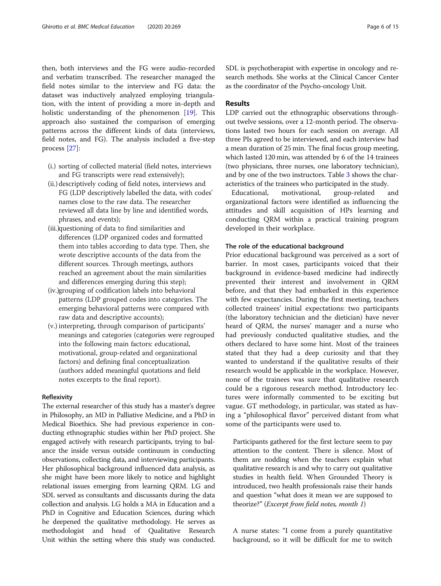Ghirotto et al. BMC Medical Education (2020) 20:269 Page 6 of 15

then, both interviews and the FG were audio-recorded and verbatim transcribed. The researcher managed the field notes similar to the interview and FG data: the dataset was inductively analyzed employing triangulation, with the intent of providing a more in-depth and holistic understanding of the phenomenon [\[19](#page-14-0)]. This approach also sustained the comparison of emerging patterns across the different kinds of data (interviews, field notes, and FG). The analysis included a five-step process [\[27](#page-14-0)]:

- (i.) sorting of collected material (field notes, interviews and FG transcripts were read extensively);
- (ii.) descriptively coding of field notes, interviews and FG (LDP descriptively labelled the data, with codes' names close to the raw data. The researcher reviewed all data line by line and identified words, phrases, and events);
- (iii.)questioning of data to find similarities and differences (LDP organized codes and formatted them into tables according to data type. Then, she wrote descriptive accounts of the data from the different sources. Through meetings, authors reached an agreement about the main similarities and differences emerging during this step);
- (iv.)grouping of codification labels into behavioral patterns (LDP grouped codes into categories. The emerging behavioral patterns were compared with raw data and descriptive accounts);
- (v.) interpreting, through comparison of participants' meanings and categories (categories were regrouped into the following main factors: educational, motivational, group-related and organizational factors) and defining final conceptualization (authors added meaningful quotations and field notes excerpts to the final report).

## Reflexivity

The external researcher of this study has a master's degree in Philosophy, an MD in Palliative Medicine, and a PhD in Medical Bioethics. She had previous experience in conducting ethnographic studies within her PhD project. She engaged actively with research participants, trying to balance the inside versus outside continuum in conducting observations, collecting data, and interviewing participants. Her philosophical background influenced data analysis, as she might have been more likely to notice and highlight relational issues emerging from learning QRM. LG and SDL served as consultants and discussants during the data collection and analysis. LG holds a MA in Education and a PhD in Cognitive and Education Sciences, during which he deepened the qualitative methodology. He serves as methodologist and head of Qualitative Research Unit within the setting where this study was conducted. SDL is psychotherapist with expertise in oncology and research methods. She works at the Clinical Cancer Center as the coordinator of the Psycho-oncology Unit.

## Results

LDP carried out the ethnographic observations throughout twelve sessions, over a 12-month period. The observations lasted two hours for each session on average. All three PIs agreed to be interviewed, and each interview had a mean duration of 25 min. The final focus group meeting, which lasted 120 min, was attended by 6 of the 14 trainees (two physicians, three nurses, one laboratory technician), and by one of the two instructors. Table [3](#page-6-0) shows the characteristics of the trainees who participated in the study.

Educational, motivational, group-related and organizational factors were identified as influencing the attitudes and skill acquisition of HPs learning and conducting QRM within a practical training program developed in their workplace.

#### The role of the educational background

Prior educational background was perceived as a sort of barrier. In most cases, participants voiced that their background in evidence-based medicine had indirectly prevented their interest and involvement in QRM before, and that they had embarked in this experience with few expectancies. During the first meeting, teachers collected trainees' initial expectations: two participants (the laboratory technician and the dietician) have never heard of QRM, the nurses' manager and a nurse who had previously conducted qualitative studies, and the others declared to have some hint. Most of the trainees stated that they had a deep curiosity and that they wanted to understand if the qualitative results of their research would be applicable in the workplace. However, none of the trainees was sure that qualitative research could be a rigorous research method. Introductory lectures were informally commented to be exciting but vague. GT methodology, in particular, was stated as having a "philosophical flavor" perceived distant from what some of the participants were used to.

Participants gathered for the first lecture seem to pay attention to the content. There is silence. Most of them are nodding when the teachers explain what qualitative research is and why to carry out qualitative studies in health field. When Grounded Theory is introduced, two health professionals raise their hands and question "what does it mean we are supposed to theorize?" (Excerpt from field notes, month 1)

A nurse states: "I come from a purely quantitative background, so it will be difficult for me to switch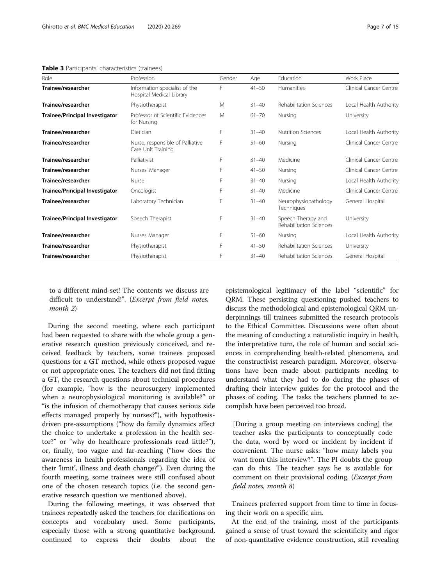#### <span id="page-6-0"></span>Table 3 Participants' characteristics (trainees)

| Role                                  | Profession                                                | Gender | Age       | Fducation                                     | Work Place             |
|---------------------------------------|-----------------------------------------------------------|--------|-----------|-----------------------------------------------|------------------------|
| Trainee/researcher                    | Information specialist of the<br>Hospital Medical Library | F      | $41 - 50$ | <b>Humanities</b>                             | Clinical Cancer Centre |
| Trainee/researcher                    | Physiotherapist                                           | M      | $31 - 40$ | Rehabilitation Sciences                       | Local Health Authority |
| Trainee/Principal Investigator        | Professor of Scientific Evidences<br>for Nursing          | M      | $61 - 70$ | Nursing                                       | University             |
| Trainee/researcher                    | Dietician                                                 | F      | $31 - 40$ | <b>Nutrition Sciences</b>                     | Local Health Authority |
| Trainee/researcher                    | Nurse, responsible of Palliative<br>Care Unit Training    | F      | $51 - 60$ | Nursing                                       | Clinical Cancer Centre |
| Trainee/researcher                    | Palliativist                                              | F      | $31 - 40$ | Medicine                                      | Clinical Cancer Centre |
| Trainee/researcher                    | Nurses' Manager                                           | F      | $41 - 50$ | Nursing                                       | Clinical Cancer Centre |
| Trainee/researcher                    | Nurse                                                     | F      | $31 - 40$ | Nursing                                       | Local Health Authority |
| <b>Trainee/Principal Investigator</b> | Oncologist                                                | F      | $31 - 40$ | Medicine                                      | Clinical Cancer Centre |
| Trainee/researcher                    | Laboratory Technician                                     | F      | $31 - 40$ | Neurophysiopathology<br>Techniques            | General Hospital       |
| <b>Trainee/Principal Investigator</b> | Speech Therapist                                          | F      | $31 - 40$ | Speech Therapy and<br>Rehabilitation Sciences | University             |
| Trainee/researcher                    | Nurses Manager                                            | F      | $51 - 60$ | Nursing                                       | Local Health Authority |
| Trainee/researcher                    | Physiotherapist                                           | F      | $41 - 50$ | Rehabilitation Sciences                       | University             |
| Trainee/researcher                    | Physiotherapist                                           | F      | $31 - 40$ | Rehabilitation Sciences                       | General Hospital       |

to a different mind-set! The contents we discuss are difficult to understand!". (Excerpt from field notes, month 2)

During the second meeting, where each participant had been requested to share with the whole group a generative research question previously conceived, and received feedback by teachers, some trainees proposed questions for a GT method, while others proposed vague or not appropriate ones. The teachers did not find fitting a GT, the research questions about technical procedures (for example, "how is the neurosurgery implemented when a neurophysiological monitoring is available?" or "is the infusion of chemotherapy that causes serious side effects managed properly by nurses?"), with hypothesisdriven pre-assumptions ("how do family dynamics affect the choice to undertake a profession in the health sector?" or "why do healthcare professionals read little?"), or, finally, too vague and far-reaching ("how does the awareness in health professionals regarding the idea of their 'limit', illness and death change?"). Even during the fourth meeting, some trainees were still confused about one of the chosen research topics (i.e. the second generative research question we mentioned above).

During the following meetings, it was observed that trainees repeatedly asked the teachers for clarifications on concepts and vocabulary used. Some participants, especially those with a strong quantitative background, continued to express their doubts about the epistemological legitimacy of the label "scientific" for QRM. These persisting questioning pushed teachers to discuss the methodological and epistemological QRM underpinnings till trainees submitted the research protocols to the Ethical Committee. Discussions were often about the meaning of conducting a naturalistic inquiry in health, the interpretative turn, the role of human and social sciences in comprehending health-related phenomena, and the constructivist research paradigm. Moreover, observations have been made about participants needing to understand what they had to do during the phases of drafting their interview guides for the protocol and the phases of coding. The tasks the teachers planned to accomplish have been perceived too broad.

[During a group meeting on interviews coding] the teacher asks the participants to conceptually code the data, word by word or incident by incident if convenient. The nurse asks: "how many labels you want from this interview?". The PI doubts the group can do this. The teacher says he is available for comment on their provisional coding. (Excerpt from field notes, month 8)

Trainees preferred support from time to time in focusing their work on a specific aim.

At the end of the training, most of the participants gained a sense of trust toward the scientificity and rigor of non-quantitative evidence construction, still revealing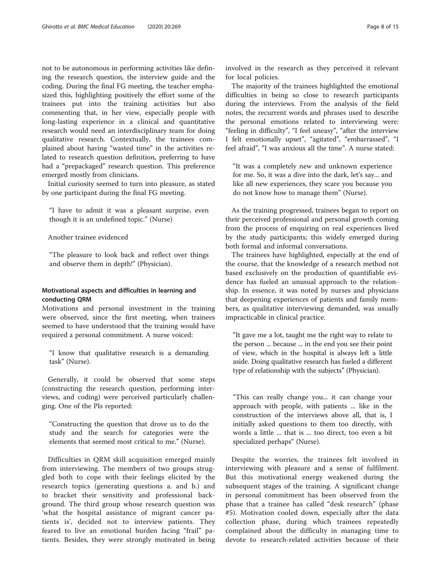not to be autonomous in performing activities like defining the research question, the interview guide and the coding. During the final FG meeting, the teacher emphasized this, highlighting positively the effort some of the trainees put into the training activities but also commenting that, in her view, especially people with long-lasting experience in a clinical and quantitative research would need an interdisciplinary team for doing qualitative research. Contextually, the trainees complained about having "wasted time" in the activities related to research question definition, preferring to have had a "prepackaged" research question. This preference emerged mostly from clinicians.

Initial curiosity seemed to turn into pleasure, as stated by one participant during the final FG meeting.

"I have to admit it was a pleasant surprise, even though it is an undefined topic." (Nurse)

## Another trainee evidenced

"The pleasure to look back and reflect over things and observe them in depth!" (Physician).

## Motivational aspects and difficulties in learning and conducting QRM

Motivations and personal investment in the training were observed, since the first meeting, when trainees seemed to have understood that the training would have required a personal commitment. A nurse voiced:

"I know that qualitative research is a demanding task" (Nurse).

Generally, it could be observed that some steps (constructing the research question, performing interviews, and coding) were perceived particularly challenging. One of the PIs reported:

"Constructing the question that drove us to do the study and the search for categories were the elements that seemed most critical to me." (Nurse).

Difficulties in QRM skill acquisition emerged mainly from interviewing. The members of two groups struggled both to cope with their feelings elicited by the research topics (generating questions a. and b.) and to bracket their sensitivity and professional background. The third group whose research question was 'what the hospital assistance of migrant cancer patients is', decided not to interview patients. They feared to live an emotional burden facing "frail" patients. Besides, they were strongly motivated in being

The majority of the trainees highlighted the emotional difficulties in being so close to research participants during the interviews. From the analysis of the field notes, the recurrent words and phrases used to describe the personal emotions related to interviewing were: "feeling in difficulty", "I feel uneasy", "after the interview I felt emotionally upset", "agitated", "embarrassed", "I feel afraid", "I was anxious all the time". A nurse stated:

"It was a completely new and unknown experience for me. So, it was a dive into the dark, let's say... and like all new experiences, they scare you because you do not know how to manage them" (Nurse).

As the training progressed, trainees began to report on their perceived professional and personal growth coming from the process of enquiring on real experiences lived by the study participants; this widely emerged during both formal and informal conversations.

The trainees have highlighted, especially at the end of the course, that the knowledge of a research method not based exclusively on the production of quantifiable evidence has fueled an unusual approach to the relationship. In essence, it was noted by nurses and physicians that deepening experiences of patients and family members, as qualitative interviewing demanded, was usually impracticable in clinical practice.

"It gave me a lot, taught me the right way to relate to the person ... because ... in the end you see their point of view, which in the hospital is always left a little aside. Doing qualitative research has fueled a different type of relationship with the subjects" (Physician).

"This can really change you... it can change your approach with people, with patients ... like in the construction of the interviews above all, that is, I initially asked questions to them too directly, with words a little ... that is ... too direct, too even a bit specialized perhaps" (Nurse).

Despite the worries, the trainees felt involved in interviewing with pleasure and a sense of fulfilment. But this motivational energy weakened during the subsequent stages of the training. A significant change in personal commitment has been observed from the phase that a trainee has called "desk research" (phase #5). Motivation cooled down, especially after the data collection phase, during which trainees repeatedly complained about the difficulty in managing time to devote to research-related activities because of their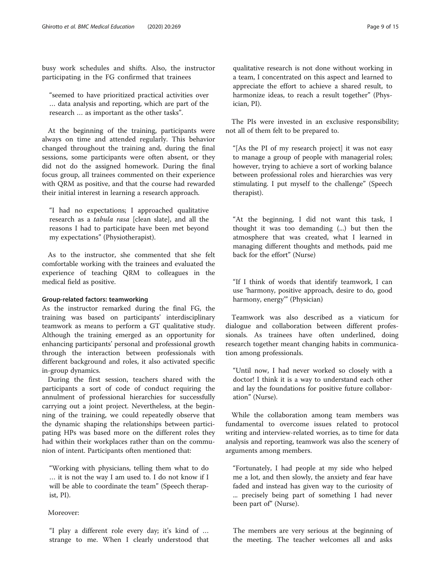busy work schedules and shifts. Also, the instructor participating in the FG confirmed that trainees

"seemed to have prioritized practical activities over … data analysis and reporting, which are part of the research … as important as the other tasks".

At the beginning of the training, participants were always on time and attended regularly. This behavior changed throughout the training and, during the final sessions, some participants were often absent, or they did not do the assigned homework. During the final focus group, all trainees commented on their experience with QRM as positive, and that the course had rewarded their initial interest in learning a research approach.

"I had no expectations; I approached qualitative research as a tabula rasa [clean slate], and all the reasons I had to participate have been met beyond my expectations" (Physiotherapist).

As to the instructor, she commented that she felt comfortable working with the trainees and evaluated the experience of teaching QRM to colleagues in the medical field as positive.

## Group-related factors: teamworking

As the instructor remarked during the final FG, the training was based on participants' interdisciplinary teamwork as means to perform a GT qualitative study. Although the training emerged as an opportunity for enhancing participants' personal and professional growth through the interaction between professionals with different background and roles, it also activated specific in-group dynamics.

During the first session, teachers shared with the participants a sort of code of conduct requiring the annulment of professional hierarchies for successfully carrying out a joint project. Nevertheless, at the beginning of the training, we could repeatedly observe that the dynamic shaping the relationships between participating HPs was based more on the different roles they had within their workplaces rather than on the communion of intent. Participants often mentioned that:

"Working with physicians, telling them what to do … it is not the way I am used to. I do not know if I will be able to coordinate the team" (Speech therapist, PI).

## Moreover:

"I play a different role every day; it's kind of … strange to me. When I clearly understood that

qualitative research is not done without working in a team, I concentrated on this aspect and learned to appreciate the effort to achieve a shared result, to harmonize ideas, to reach a result together" (Physician, PI).

The PIs were invested in an exclusive responsibility; not all of them felt to be prepared to.

"[As the PI of my research project] it was not easy to manage a group of people with managerial roles; however, trying to achieve a sort of working balance between professional roles and hierarchies was very stimulating. I put myself to the challenge" (Speech therapist).

"At the beginning, I did not want this task, I thought it was too demanding (...) but then the atmosphere that was created, what I learned in managing different thoughts and methods, paid me back for the effort" (Nurse)

"If I think of words that identify teamwork, I can use 'harmony, positive approach, desire to do, good harmony, energy'" (Physician)

Teamwork was also described as a viaticum for dialogue and collaboration between different professionals. As trainees have often underlined, doing research together meant changing habits in communication among professionals.

"Until now, I had never worked so closely with a doctor! I think it is a way to understand each other and lay the foundations for positive future collaboration" (Nurse).

While the collaboration among team members was fundamental to overcome issues related to protocol writing and interview-related worries, as to time for data analysis and reporting, teamwork was also the scenery of arguments among members.

"Fortunately, I had people at my side who helped me a lot, and then slowly, the anxiety and fear have faded and instead has given way to the curiosity of ... precisely being part of something I had never been part of" (Nurse).

The members are very serious at the beginning of the meeting. The teacher welcomes all and asks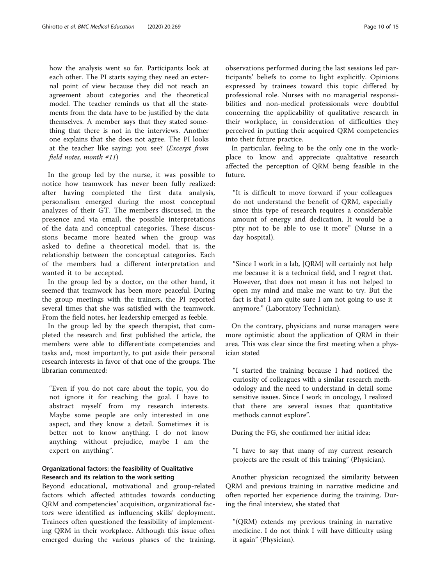how the analysis went so far. Participants look at each other. The PI starts saying they need an external point of view because they did not reach an agreement about categories and the theoretical model. The teacher reminds us that all the statements from the data have to be justified by the data themselves. A member says that they stated something that there is not in the interviews. Another one explains that she does not agree. The PI looks at the teacher like saying: you see? (Excerpt from field notes, month #11)

In the group led by the nurse, it was possible to notice how teamwork has never been fully realized: after having completed the first data analysis, personalism emerged during the most conceptual analyzes of their GT. The members discussed, in the presence and via email, the possible interpretations of the data and conceptual categories. These discussions became more heated when the group was asked to define a theoretical model, that is, the relationship between the conceptual categories. Each of the members had a different interpretation and wanted it to be accepted.

In the group led by a doctor, on the other hand, it seemed that teamwork has been more peaceful. During the group meetings with the trainers, the PI reported several times that she was satisfied with the teamwork. From the field notes, her leadership emerged as feeble.

In the group led by the speech therapist, that completed the research and first published the article, the members were able to differentiate competencies and tasks and, most importantly, to put aside their personal research interests in favor of that one of the groups. The librarian commented:

"Even if you do not care about the topic, you do not ignore it for reaching the goal. I have to abstract myself from my research interests. Maybe some people are only interested in one aspect, and they know a detail. Sometimes it is better not to know anything. I do not know anything: without prejudice, maybe I am the expert on anything".

## Organizational factors: the feasibility of Qualitative Research and its relation to the work setting

Beyond educational, motivational and group-related factors which affected attitudes towards conducting QRM and competencies' acquisition, organizational factors were identified as influencing skills' deployment. Trainees often questioned the feasibility of implementing QRM in their workplace. Although this issue often emerged during the various phases of the training,

observations performed during the last sessions led participants' beliefs to come to light explicitly. Opinions expressed by trainees toward this topic differed by professional role. Nurses with no managerial responsibilities and non-medical professionals were doubtful concerning the applicability of qualitative research in their workplace, in consideration of difficulties they perceived in putting their acquired QRM competencies into their future practice.

In particular, feeling to be the only one in the workplace to know and appreciate qualitative research affected the perception of QRM being feasible in the future.

"It is difficult to move forward if your colleagues do not understand the benefit of QRM, especially since this type of research requires a considerable amount of energy and dedication. It would be a pity not to be able to use it more" (Nurse in a day hospital).

"Since I work in a lab, [QRM] will certainly not help me because it is a technical field, and I regret that. However, that does not mean it has not helped to open my mind and make me want to try. But the fact is that I am quite sure I am not going to use it anymore." (Laboratory Technician).

On the contrary, physicians and nurse managers were more optimistic about the application of QRM in their area. This was clear since the first meeting when a physician stated

"I started the training because I had noticed the curiosity of colleagues with a similar research methodology and the need to understand in detail some sensitive issues. Since I work in oncology, I realized that there are several issues that quantitative methods cannot explore".

During the FG, she confirmed her initial idea:

"I have to say that many of my current research projects are the result of this training" (Physician).

Another physician recognized the similarity between QRM and previous training in narrative medicine and often reported her experience during the training. During the final interview, she stated that

"(QRM) extends my previous training in narrative medicine. I do not think I will have difficulty using it again" (Physician).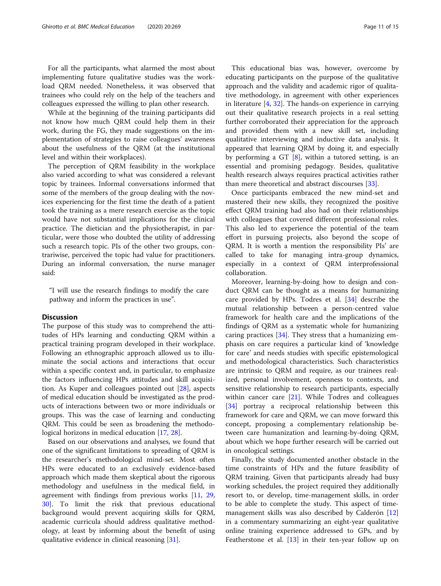For all the participants, what alarmed the most about implementing future qualitative studies was the workload QRM needed. Nonetheless, it was observed that trainees who could rely on the help of the teachers and colleagues expressed the willing to plan other research.

While at the beginning of the training participants did not know how much QRM could help them in their work, during the FG, they made suggestions on the implementation of strategies to raise colleagues' awareness about the usefulness of the QRM (at the institutional level and within their workplaces).

The perception of QRM feasibility in the workplace also varied according to what was considered a relevant topic by trainees. Informal conversations informed that some of the members of the group dealing with the novices experiencing for the first time the death of a patient took the training as a mere research exercise as the topic would have not substantial implications for the clinical practice. The dietician and the physiotherapist, in particular, were those who doubted the utility of addressing such a research topic. PIs of the other two groups, contrariwise, perceived the topic had value for practitioners. During an informal conversation, the nurse manager said:

"I will use the research findings to modify the care pathway and inform the practices in use".

## Discussion

The purpose of this study was to comprehend the attitudes of HPs learning and conducting QRM within a practical training program developed in their workplace. Following an ethnographic approach allowed us to illuminate the social actions and interactions that occur within a specific context and, in particular, to emphasize the factors influencing HPs attitudes and skill acquisition. As Kuper and colleagues pointed out [\[28](#page-14-0)], aspects of medical education should be investigated as the products of interactions between two or more individuals or groups. This was the case of learning and conducting QRM. This could be seen as broadening the methodological horizons in medical education [[17,](#page-14-0) [28](#page-14-0)].

Based on our observations and analyses, we found that one of the significant limitations to spreading of QRM is the researcher's methodological mind-set. Most often HPs were educated to an exclusively evidence-based approach which made them skeptical about the rigorous methodology and usefulness in the medical field, in agreement with findings from previous works [[11](#page-14-0), [29](#page-14-0), [30\]](#page-14-0). To limit the risk that previous educational background would prevent acquiring skills for QRM, academic curricula should address qualitative methodology, at least by informing about the benefit of using qualitative evidence in clinical reasoning [\[31](#page-14-0)].

This educational bias was, however, overcome by educating participants on the purpose of the qualitative approach and the validity and academic rigor of qualitative methodology, in agreement with other experiences in literature  $[4, 32]$  $[4, 32]$  $[4, 32]$ . The hands-on experience in carrying out their qualitative research projects in a real setting further corroborated their appreciation for the approach and provided them with a new skill set, including qualitative interviewing and inductive data analysis. It appeared that learning QRM by doing it, and especially by performing a GT  $[8]$  $[8]$ , within a tutored setting, is an essential and promising pedagogy. Besides, qualitative health research always requires practical activities rather than mere theoretical and abstract discourses [[33\]](#page-14-0).

Once participants embraced the new mind-set and mastered their new skills, they recognized the positive effect QRM training had also had on their relationships with colleagues that covered different professional roles. This also led to experience the potential of the team effort in pursuing projects, also beyond the scope of QRM. It is worth a mention the responsibility PIs' are called to take for managing intra-group dynamics, especially in a context of QRM interprofessional collaboration.

Moreover, learning-by-doing how to design and conduct QRM can be thought as a means for humanizing care provided by HPs. Todres et al. [\[34](#page-14-0)] describe the mutual relationship between a person-centred value framework for health care and the implications of the findings of QRM as a systematic whole for humanizing caring practices [[34](#page-14-0)]. They stress that a humanizing emphasis on care requires a particular kind of 'knowledge for care' and needs studies with specific epistemological and methodological characteristics. Such characteristics are intrinsic to QRM and require, as our trainees realized, personal involvement, openness to contexts, and sensitive relationship to research participants, especially within cancer care [[21\]](#page-14-0). While Todres and colleagues [[34\]](#page-14-0) portray a reciprocal relationship between this framework for care and QRM, we can move forward this concept, proposing a complementary relationship between care humanization and learning-by-doing QRM, about which we hope further research will be carried out in oncological settings.

Finally, the study documented another obstacle in the time constraints of HPs and the future feasibility of QRM training. Given that participants already had busy working schedules, the project required they additionally resort to, or develop, time-management skills, in order to be able to complete the study. This aspect of timemanagement skills was also described by Calderón [[12](#page-14-0)] in a commentary summarizing an eight-year qualitative online training experience addressed to GPs, and by Featherstone et al. [[13\]](#page-14-0) in their ten-year follow up on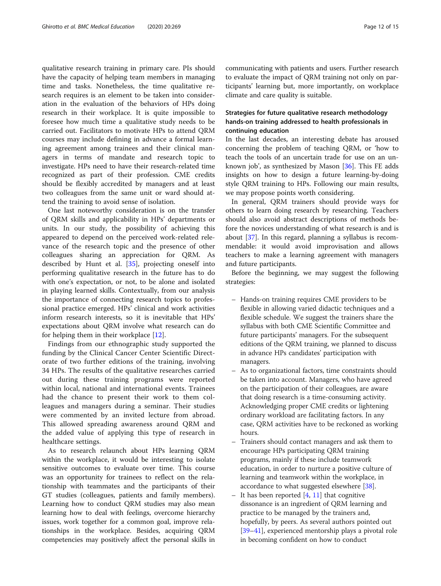qualitative research training in primary care. PIs should have the capacity of helping team members in managing time and tasks. Nonetheless, the time qualitative research requires is an element to be taken into consideration in the evaluation of the behaviors of HPs doing research in their workplace. It is quite impossible to foresee how much time a qualitative study needs to be carried out. Facilitators to motivate HPs to attend QRM courses may include defining in advance a formal learning agreement among trainees and their clinical managers in terms of mandate and research topic to investigate. HPs need to have their research-related time recognized as part of their profession. CME credits should be flexibly accredited by managers and at least two colleagues from the same unit or ward should attend the training to avoid sense of isolation.

One last noteworthy consideration is on the transfer of QRM skills and applicability in HPs' departments or units. In our study, the possibility of achieving this appeared to depend on the perceived work-related relevance of the research topic and the presence of other colleagues sharing an appreciation for QRM. As described by Hunt et al. [\[35](#page-14-0)], projecting oneself into performing qualitative research in the future has to do with one's expectation, or not, to be alone and isolated in playing learned skills. Contextually, from our analysis the importance of connecting research topics to professional practice emerged. HPs' clinical and work activities inform research interests, so it is inevitable that HPs' expectations about QRM involve what research can do for helping them in their workplace [\[12\]](#page-14-0).

Findings from our ethnographic study supported the funding by the Clinical Cancer Center Scientific Directorate of two further editions of the training, involving 34 HPs. The results of the qualitative researches carried out during these training programs were reported within local, national and international events. Trainees had the chance to present their work to them colleagues and managers during a seminar. Their studies were commented by an invited lecture from abroad. This allowed spreading awareness around QRM and the added value of applying this type of research in healthcare settings.

As to research relaunch about HPs learning QRM within the workplace, it would be interesting to isolate sensitive outcomes to evaluate over time. This course was an opportunity for trainees to reflect on the relationship with teammates and the participants of their GT studies (colleagues, patients and family members). Learning how to conduct QRM studies may also mean learning how to deal with feelings, overcome hierarchy issues, work together for a common goal, improve relationships in the workplace. Besides, acquiring QRM competencies may positively affect the personal skills in communicating with patients and users. Further research to evaluate the impact of QRM training not only on participants' learning but, more importantly, on workplace climate and care quality is suitable.

## Strategies for future qualitative research methodology hands-on training addressed to health professionals in continuing education

In the last decades, an interesting debate has aroused concerning the problem of teaching QRM, or 'how to teach the tools of an uncertain trade for use on an unknown job', as synthesized by Mason [[36](#page-14-0)]. This FE adds insights on how to design a future learning-by-doing style QRM training to HPs. Following our main results, we may propose points worth considering.

In general, QRM trainers should provide ways for others to learn doing research by researching. Teachers should also avoid abstract descriptions of methods before the novices understanding of what research is and is about [[37](#page-14-0)]. In this regard, planning a syllabus is recommendable: it would avoid improvisation and allows teachers to make a learning agreement with managers and future participants.

Before the beginning, we may suggest the following strategies:

- Hands-on training requires CME providers to be flexible in allowing varied didactic techniques and a flexible schedule. We suggest the trainers share the syllabus with both CME Scientific Committee and future participants' managers. For the subsequent editions of the QRM training, we planned to discuss in advance HPs candidates' participation with managers.
- As to organizational factors, time constraints should be taken into account. Managers, who have agreed on the participation of their colleagues, are aware that doing research is a time-consuming activity. Acknowledging proper CME credits or lightening ordinary workload are facilitating factors. In any case, QRM activities have to be reckoned as working hours.
- Trainers should contact managers and ask them to encourage HPs participating QRM training programs, mainly if these include teamwork education, in order to nurture a positive culture of learning and teamwork within the workplace, in accordance to what suggested elsewhere [\[38\]](#page-14-0).
- It has been reported  $[4, 11]$  $[4, 11]$  $[4, 11]$  that cognitive dissonance is an ingredient of QRM learning and practice to be managed by the trainers and, hopefully, by peers. As several authors pointed out [[39](#page-14-0)–[41\]](#page-14-0), experienced mentorship plays a pivotal role in becoming confident on how to conduct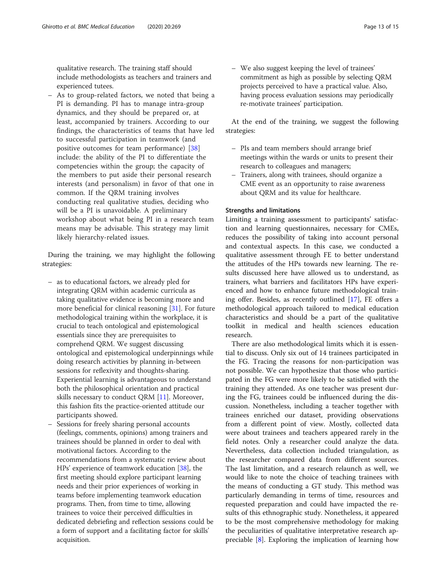qualitative research. The training staff should include methodologists as teachers and trainers and experienced tutees.

– As to group-related factors, we noted that being a PI is demanding. PI has to manage intra-group dynamics, and they should be prepared or, at least, accompanied by trainers. According to our findings, the characteristics of teams that have led to successful participation in teamwork (and positive outcomes for team performance) [[38](#page-14-0)] include: the ability of the PI to differentiate the competencies within the group; the capacity of the members to put aside their personal research interests (and personalism) in favor of that one in common. If the QRM training involves conducting real qualitative studies, deciding who will be a PI is unavoidable. A preliminary workshop about what being PI in a research team means may be advisable. This strategy may limit likely hierarchy-related issues.

During the training, we may highlight the following strategies:

- as to educational factors, we already pled for integrating QRM within academic curricula as taking qualitative evidence is becoming more and more beneficial for clinical reasoning [[31](#page-14-0)]. For future methodological training within the workplace, it is crucial to teach ontological and epistemological essentials since they are prerequisites to comprehend QRM. We suggest discussing ontological and epistemological underpinnings while doing research activities by planning in-between sessions for reflexivity and thoughts-sharing. Experiential learning is advantageous to understand both the philosophical orientation and practical skills necessary to conduct QRM [\[11\]](#page-14-0). Moreover, this fashion fits the practice-oriented attitude our participants showed.
- Sessions for freely sharing personal accounts (feelings, comments, opinions) among trainers and trainees should be planned in order to deal with motivational factors. According to the recommendations from a systematic review about HPs' experience of teamwork education [[38](#page-14-0)], the first meeting should explore participant learning needs and their prior experiences of working in teams before implementing teamwork education programs. Then, from time to time, allowing trainees to voice their perceived difficulties in dedicated debriefing and reflection sessions could be a form of support and a facilitating factor for skills' acquisition.

– We also suggest keeping the level of trainees' commitment as high as possible by selecting QRM projects perceived to have a practical value. Also, having process evaluation sessions may periodically re-motivate trainees' participation.

At the end of the training, we suggest the following strategies:

- PIs and team members should arrange brief meetings within the wards or units to present their research to colleagues and managers;
- Trainers, along with trainees, should organize a CME event as an opportunity to raise awareness about QRM and its value for healthcare.

#### Strengths and limitations

Limiting a training assessment to participants' satisfaction and learning questionnaires, necessary for CMEs, reduces the possibility of taking into account personal and contextual aspects. In this case, we conducted a qualitative assessment through FE to better understand the attitudes of the HPs towards new learning. The results discussed here have allowed us to understand, as trainers, what barriers and facilitators HPs have experienced and how to enhance future methodological training offer. Besides, as recently outlined [\[17\]](#page-14-0), FE offers a methodological approach tailored to medical education characteristics and should be a part of the qualitative toolkit in medical and health sciences education research.

There are also methodological limits which it is essential to discuss. Only six out of 14 trainees participated in the FG. Tracing the reasons for non-participation was not possible. We can hypothesize that those who participated in the FG were more likely to be satisfied with the training they attended. As one teacher was present during the FG, trainees could be influenced during the discussion. Nonetheless, including a teacher together with trainees enriched our dataset, providing observations from a different point of view. Mostly, collected data were about trainees and teachers appeared rarely in the field notes. Only a researcher could analyze the data. Nevertheless, data collection included triangulation, as the researcher compared data from different sources. The last limitation, and a research relaunch as well, we would like to note the choice of teaching trainees with the means of conducting a GT study. This method was particularly demanding in terms of time, resources and requested preparation and could have impacted the results of this ethnographic study. Nonetheless, it appeared to be the most comprehensive methodology for making the peculiarities of qualitative interpretative research appreciable [\[8](#page-13-0)]. Exploring the implication of learning how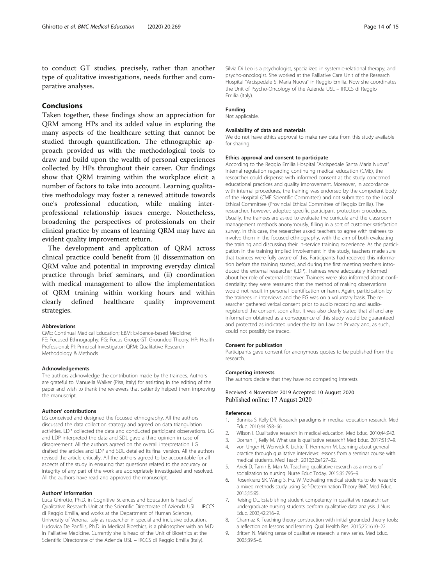<span id="page-13-0"></span>to conduct GT studies, precisely, rather than another type of qualitative investigations, needs further and comparative analyses.

## Conclusions

Taken together, these findings show an appreciation for QRM among HPs and its added value in exploring the many aspects of the healthcare setting that cannot be studied through quantification. The ethnographic approach provided us with the methodological tools to draw and build upon the wealth of personal experiences collected by HPs throughout their career. Our findings show that QRM training within the workplace elicit a number of factors to take into account. Learning qualitative methodology may foster a renewed attitude towards one's professional education, while making interprofessional relationship issues emerge. Nonetheless, broadening the perspectives of professionals on their clinical practice by means of learning QRM may have an evident quality improvement return.

The development and application of QRM across clinical practice could benefit from (i) dissemination on QRM value and potential in improving everyday clinical practice through brief seminars, and (ii) coordination with medical management to allow the implementation of QRM training within working hours and within clearly defined healthcare quality improvement strategies.

#### Abbreviations

CME: Continual Medical Education; EBM: Evidence-based Medicine; FE: Focused Ethnography; FG: Focus Group; GT: Grounded Theory; HP: Health Professional; PI: Principal Investigator; QRM: Qualitative Research Methodology & Methods

#### Acknowledgements

The authors acknowledge the contribution made by the trainees. Authors are grateful to Manuella Walker (Pisa, Italy) for assisting in the editing of the paper and wish to thank the reviewers that patiently helped them improving the manuscript.

#### Authors' contributions

LG conceived and designed the focused ethnography. All the authors discussed the data collection strategy and agreed on data triangulation activities. LDP collected the data and conducted participant observations. LG and LDP interpreted the data and SDL gave a third opinion in case of disagreement. All the authors agreed on the overall interpretation. LG drafted the articles and LDP and SDL detailed its final version. All the authors revised the article critically. All the authors agreed to be accountable for all aspects of the study in ensuring that questions related to the accuracy or integrity of any part of the work are appropriately investigated and resolved. All the authors have read and approved the manuscript.

#### Authors' information

Luca Ghirotto, Ph.D. in Cognitive Sciences and Education is head of Qualitative Research Unit at the Scientific Directorate of Azienda USL – IRCCS di Reggio Emilia, and works at the Department of Human Sciences, University of Verona, Italy as researcher in special and inclusive education. Ludovica De Panfilis, Ph.D. in Medical Bioethics, is a philosopher with an M.D. in Palliative Medicine. Currently she is head of the Unit of Bioethics at the Scientific Directorate of the Azienda USL – IRCCS di Reggio Emilia (Italy).

Silvia Di Leo is a psychologist, specialized in systemic-relational therapy, and psycho-oncologist. She worked at the Palliative Care Unit of the Research Hospital "Arcispedale S. Maria Nuova" in Reggio Emilia. Now she coordinates the Unit of Psycho-Oncology of the Azienda USL – IRCCS di Reggio Emilia (Italy).

#### Funding

Not applicable.

#### Availability of data and materials

We do not have ethics approval to make raw data from this study available for sharing.

#### Ethics approval and consent to participate

According to the Reggio Emilia Hospital "Arcispedale Santa Maria Nuova" internal regulation regarding continuing medical education (CME), the researcher could dispense with informed consent as the study concerned educational practices and quality improvement. Moreover, in accordance with internal procedures, the training was endorsed by the competent body of the Hospital (CME Scientific Committee) and not submitted to the Local Ethical Committee (Provincial Ethical Committee of Reggio Emilia). The researcher, however, adopted specific participant protection procedures. Usually, the trainees are asked to evaluate the curricula and the classroom management methods anonymously, filling in a sort of customer satisfaction survey. In this case, the researcher asked teachers to agree with trainees to involve them in the focused ethnography, with the aim of both evaluating the training and discussing their in-service training experience. As the participation in the training implied involvement in the study, teachers made sure that trainees were fully aware of this. Participants had received this information before the training started, and during the first meeting teachers introduced the external researcher (LDP). Trainees were adequately informed about her role of external observer. Trainees were also informed about confidentiality: they were reassured that the method of making observations would not result in personal identification or harm. Again, participation by the trainees in interviews and the FG was on a voluntary basis. The researcher gathered verbal consent prior to audio recording and audioregistered the consent soon after. It was also clearly stated that all and any information obtained as a consequence of this study would be guaranteed and protected as indicated under the Italian Law on Privacy and, as such, could not possibly be traced.

#### Consent for publication

Participants gave consent for anonymous quotes to be published from the research.

#### Competing interests

The authors declare that they have no competing interests.

#### Received: 4 November 2019 Accepted: 10 August 2020 Published online: 17 August 2020

#### References

- 1. Bunniss S, Kelly DR. Research paradigms in medical education research. Med Educ. 2010;44:358–66.
- 2. Wilson I. Qualitative research in medical education. Med Educ. 2010;44:942.
- 3. Dornan T, Kelly M. What use is qualitative research? Med Educ. 2017;51:7–9.
- 4. von Unger H, Werwick K, Lichte T, Herrmann M. Learning about general practice through qualitative interviews: lessons from a seminar course with medical students. Med Teach. 2010;32:e127–32.
- 5. Arieli D, Tamir B, Man M. Teaching qualitative research as a means of socialization to nursing. Nurse Educ Today. 2015;35:795–9.
- Rosenkranz SK. Wang S, Hu. W Motivating medical students to do research: a mixed methods study using Self-Determination Theory BMC Med Educ. 2015;15:95.
- 7. Reising DL. Establishing student competency in qualitative research: can undergraduate nursing students perform qualitative data analysis. J Nurs Educ. 2003;42:216–9.
- 8. Charmaz K. Teaching theory construction with initial grounded theory tools: a reflection on lessons and learning. Qual Health Res. 2015;25:1610–22.
- 9. Britten N. Making sense of qualitative research: a new series. Med Educ. 2005;39:5–6.